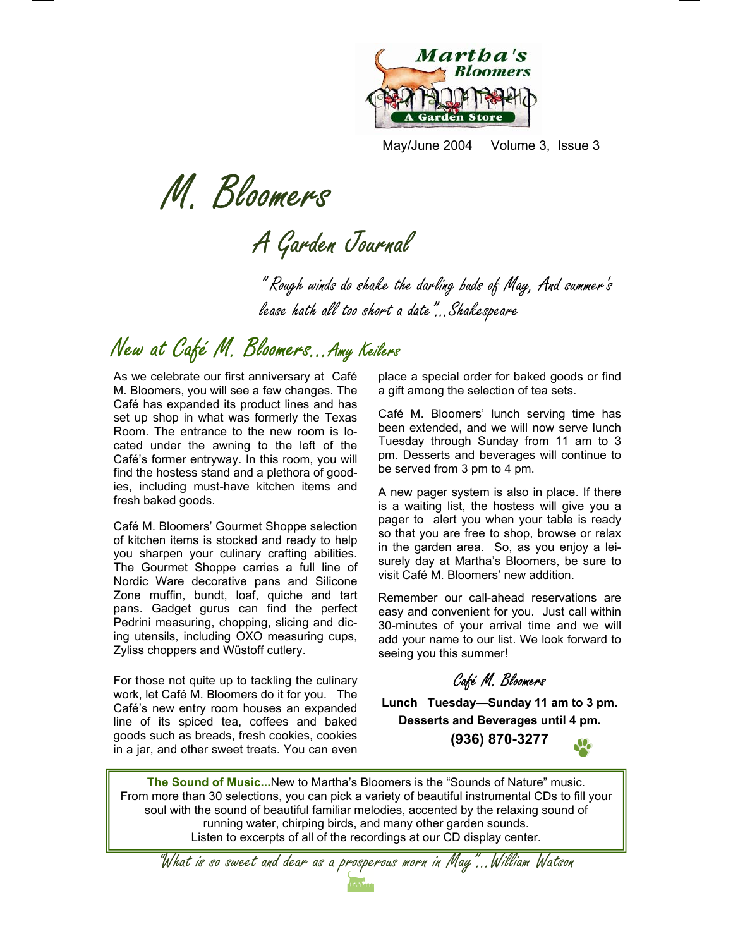

May/June 2004 Volume 3, Issue 3

M. Bloomers<br>A Garden Journal

" Rough winds do shake the darling buds of May, And summer's lease hath all too short a date"...Shakespeare

# New at Café M. Bloomers...Amy Keilers

As we celebrate our first anniversary at Café M. Bloomers, you will see a few changes. The Café has expanded its product lines and has set up shop in what was formerly the Texas Room. The entrance to the new room is located under the awning to the left of the Café's former entryway. In this room, you will find the hostess stand and a plethora of goodies, including must-have kitchen items and fresh baked goods.

Café M. Bloomers' Gourmet Shoppe selection of kitchen items is stocked and ready to help you sharpen your culinary crafting abilities. The Gourmet Shoppe carries a full line of Nordic Ware decorative pans and Silicone Zone muffin, bundt, loaf, quiche and tart pans. Gadget gurus can find the perfect Pedrini measuring, chopping, slicing and dicing utensils, including OXO measuring cups, Zyliss choppers and Wüstoff cutlery.

For those not quite up to tackling the culinary work, let Café M. Bloomers do it for you. The Café's new entry room houses an expanded line of its spiced tea, coffees and baked goods such as breads, fresh cookies, cookies in a jar, and other sweet treats. You can even

place a special order for baked goods or find a gift among the selection of tea sets.

Café M. Bloomers' lunch serving time has been extended, and we will now serve lunch Tuesday through Sunday from 11 am to 3 pm. Desserts and beverages will continue to be served from 3 pm to 4 pm.

A new pager system is also in place. If there is a waiting list, the hostess will give you a pager to alert you when your table is ready so that you are free to shop, browse or relax in the garden area. So, as you enjoy a leisurely day at Martha's Bloomers, be sure to visit Café M. Bloomers' new addition.

Remember our call-ahead reservations are easy and convenient for you. Just call within 30-minutes of your arrival time and we will add your name to our list. We look forward to seeing you this summer!

Café M. Bloomers

**Lunch Tuesday—Sunday 11 am to 3 pm. Desserts and Beverages until 4 pm.**

**(936) 870-3277** 

**The Sound of Music...**New to Martha's Bloomers is the "Sounds of Nature" music. From more than 30 selections, you can pick a variety of beautiful instrumental CDs to fill your soul with the sound of beautiful familiar melodies, accented by the relaxing sound of running water, chirping birds, and many other garden sounds. Listen to excerpts of all of the recordings at our CD display center.

"What is so sweet and dear as a prosperous morn in May"...William Watson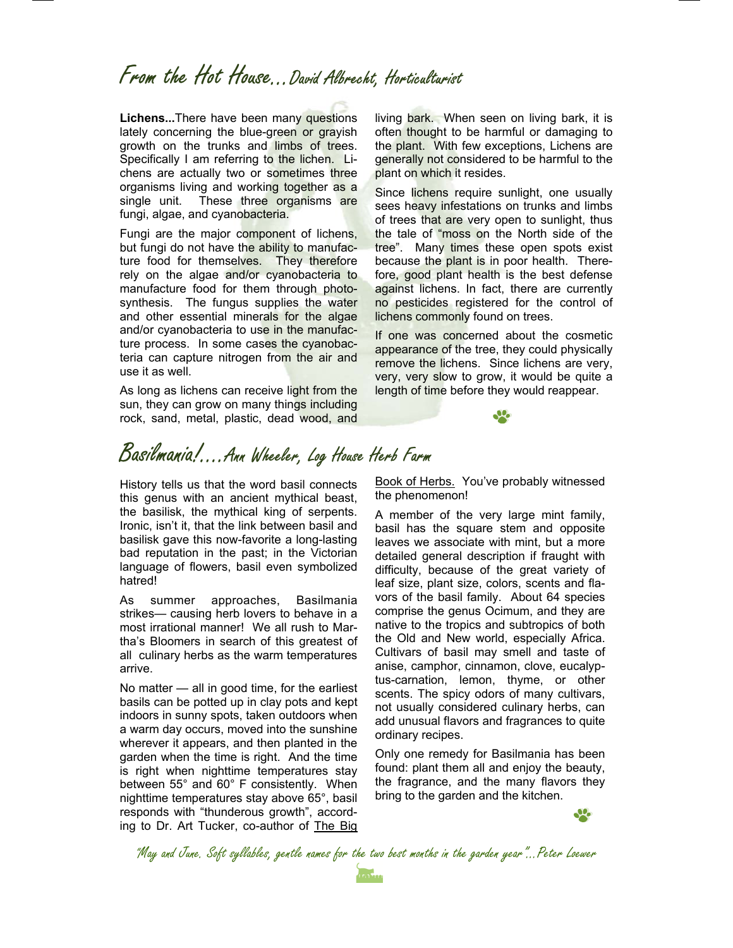# From the Hot House...David Albrecht, Horticulturist

**Lichens...**There have been many questions lately concerning the blue-green or grayish growth on the trunks and limbs of trees. Specifically I am referring to the lichen. Lichens are actually two or sometimes three organisms living and working together as a single unit. These three organisms are fungi, algae, and cyanobacteria.

Fungi are the major component of lichens, but fungi do not have the ability to manufacture food for themselves. They therefore rely on the algae and/or cyanobacteria to manufacture food for them through photosynthesis. The fungus supplies the water and other essential minerals for the algae and/or cyanobacteria to use in the manufacture process. In some cases the cyanobacteria can capture nitrogen from the air and use it as well.

As long as lichens can receive light from the sun, they can grow on many things including rock, sand, metal, plastic, dead wood, and living bark. When seen on living bark, it is often thought to be harmful or damaging to the plant. With few exceptions, Lichens are generally not considered to be harmful to the plant on which it resides.

Since lichens require sunlight, one usually sees heavy infestations on trunks and limbs of trees that are very open to sunlight, thus the tale of "moss on the North side of the tree". Many times these open spots exist because the plant is in poor health. Therefore, good plant health is the best defense against lichens. In fact, there are currently no pesticides registered for the control of lichens commonly found on trees.

If one was concerned about the cosmetic appearance of the tree, they could physically remove the lichens. Since lichens are very, very, very slow to grow, it would be quite a length of time before they would reappear.

# Basilmania!....Ann Wheeler, Log House Herb Farm

History tells us that the word basil connects this genus with an ancient mythical beast, the basilisk, the mythical king of serpents. Ironic, isn't it, that the link between basil and basilisk gave this now-favorite a long-lasting bad reputation in the past; in the Victorian language of flowers, basil even symbolized hatred!

As summer approaches, Basilmania strikes— causing herb lovers to behave in a most irrational manner! We all rush to Martha's Bloomers in search of this greatest of all culinary herbs as the warm temperatures arrive.

No matter — all in good time, for the earliest basils can be potted up in clay pots and kept indoors in sunny spots, taken outdoors when a warm day occurs, moved into the sunshine wherever it appears, and then planted in the garden when the time is right. And the time is right when nighttime temperatures stay between 55° and 60° F consistently. When nighttime temperatures stay above 65°, basil responds with "thunderous growth", according to Dr. Art Tucker, co-author of The Big Book of Herbs. You've probably witnessed the phenomenon!

A member of the very large mint family, basil has the square stem and opposite leaves we associate with mint, but a more detailed general description if fraught with difficulty, because of the great variety of leaf size, plant size, colors, scents and flavors of the basil family. About 64 species comprise the genus Ocimum, and they are native to the tropics and subtropics of both the Old and New world, especially Africa. Cultivars of basil may smell and taste of anise, camphor, cinnamon, clove, eucalyptus-carnation, lemon, thyme, or other scents. The spicy odors of many cultivars, not usually considered culinary herbs, can add unusual flavors and fragrances to quite ordinary recipes.

Only one remedy for Basilmania has been found: plant them all and enjoy the beauty, the fragrance, and the many flavors they bring to the garden and the kitchen.

"May and June. Soft syllables, gentle names for the two best months in the garden year"...Peter Loewer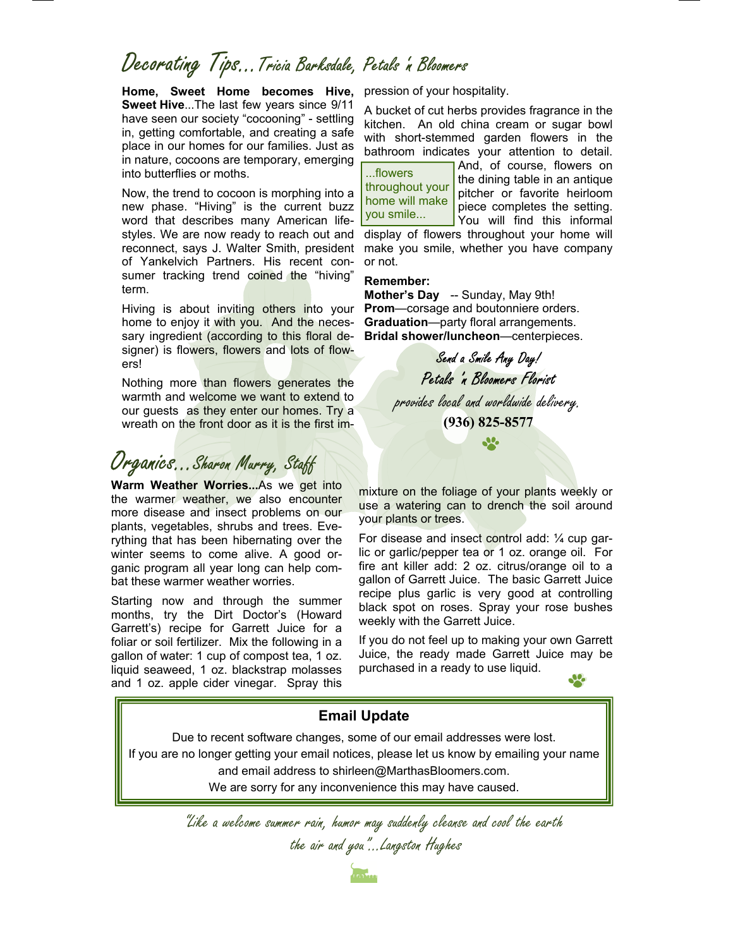# Decorating Tips…Tricia Barksdale, Petals 'n Bloomers

**Home, Sweet Home becomes Hive, Sweet Hive**...The last few years since 9/11 have seen our society "cocooning" - settling in, getting comfortable, and creating a safe place in our homes for our families. Just as in nature, cocoons are temporary, emerging into butterflies or moths.

Now, the trend to cocoon is morphing into a new phase. "Hiving" is the current buzz word that describes many American lifestyles. We are now ready to reach out and reconnect, says J. Walter Smith, president of Yankelvich Partners. His recent consumer tracking trend coined the "hiving" term.

Hiving is about inviting others into your home to enjoy it with you. And the necessary ingredient (according to this floral designer) is flowers, flowers and lots of flowers!

Nothing more than flowers generates the warmth and welcome we want to extend to our guests as they enter our homes. Try a wreath on the front door as it is the first im-

## Organics...Sharon Murry, Staff

**Warm Weather Worries...**As we get into the warmer weather, we also encounter more disease and insect problems on our plants, vegetables, shrubs and trees. Everything that has been hibernating over the winter seems to come alive. A good organic program all year long can help combat these warmer weather worries.

Starting now and through the summer months, try the Dirt Doctor's (Howard Garrett's) recipe for Garrett Juice for a foliar or soil fertilizer. Mix the following in a gallon of water: 1 cup of compost tea, 1 oz. liquid seaweed, 1 oz. blackstrap molasses and 1 oz. apple cider vinegar. Spray this

pression of your hospitality.

A bucket of cut herbs provides fragrance in the kitchen. An old china cream or sugar bowl with short-stemmed garden flowers in the bathroom indicates your attention to detail.

...flowers throughout your home will make you smile...

And, of course, flowers on the dining table in an antique pitcher or favorite heirloom piece completes the setting. You will find this informal

display of flowers throughout your home will make you smile, whether you have company or not.

#### **Remember:**

**Mother's Day** -- Sunday, May 9th! **Prom**—corsage and boutonniere orders. **Graduation**—party floral arrangements. **Bridal shower/luncheon**—centerpieces.

> Send a Smile Any Day! Petals 'n Bloomers Florist provides local and worldwide delivery. **(936) 825-8577**

> > **SP**

mixture on the foliage of your plants weekly or use a watering can to drench the soil around your plants or trees.

For disease and insect control add:  $\frac{1}{4}$  cup garlic or garlic/pepper tea or 1 oz. orange oil. For fire ant killer add: 2 oz. citrus/orange oil to a gallon of Garrett Juice. The basic Garrett Juice recipe plus garlic is very good at controlling black spot on roses. Spray your rose bushes weekly with the Garrett Juice.

If you do not feel up to making your own Garrett Juice, the ready made Garrett Juice may be purchased in a ready to use liquid.

Jo.



"Like a welcome summer rain, humor may suddenly cleanse and cool the earth the air and you"...Langston Hughes

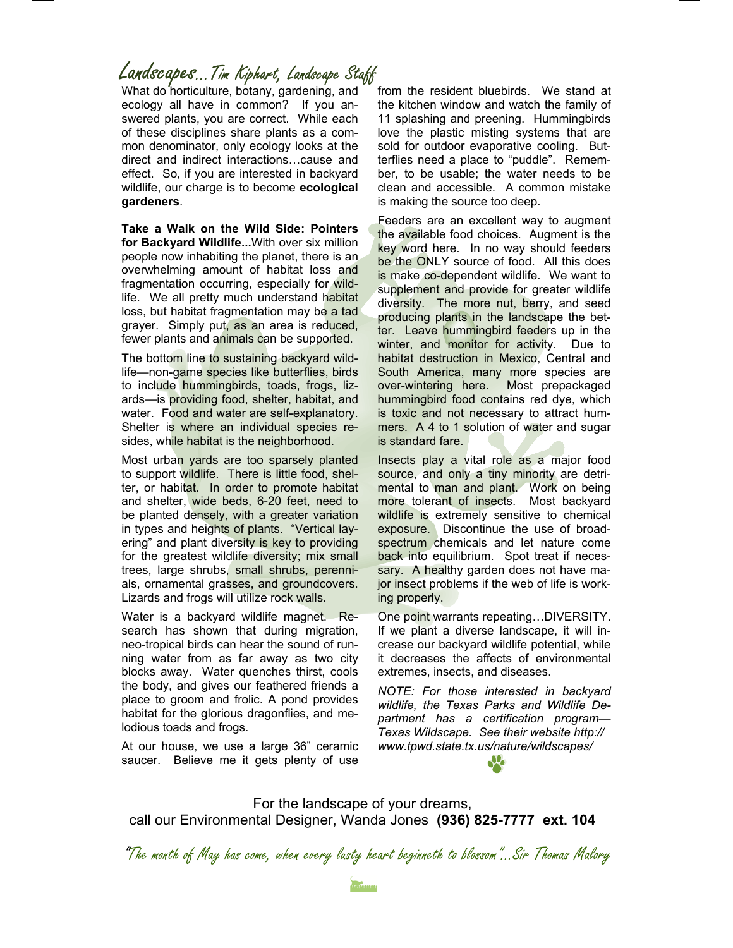### Landscapes…Tim Kiphart, Landscape Staff

What do horticulture, botany, gardening, and ecology all have in common? If you answered plants, you are correct. While each of these disciplines share plants as a common denominator, only ecology looks at the direct and indirect interactions…cause and effect. So, if you are interested in backyard wildlife, our charge is to become **ecological gardeners**.

**Take a Walk on the Wild Side: Pointers for Backyard Wildlife...**With over six million people now inhabiting the planet, there is an overwhelming amount of habitat loss and fragmentation occurring, especially for wildlife. We all pretty much understand habitat loss, but habitat fragmentation may be a tad grayer. Simply put, as an area is reduced, fewer plants and animals can be supported.

The bottom line to sustaining backyard wildlife—non-game species like butterflies, birds to include hummingbirds, toads, frogs, lizards—is providing food, shelter, habitat, and water. Food and water are self-explanatory. Shelter is where an individual species resides, while habitat is the neighborhood.

Most urban yards are too sparsely planted to support wildlife. There is little food, shelter, or habitat. In order to promote habitat and shelter, wide beds, 6-20 feet, need to be planted densely, with a greater variation in types and heights of plants. "Vertical layering" and plant diversity is key to providing for the greatest wildlife diversity; mix small trees, large shrubs, small shrubs, perennials, ornamental grasses, and groundcovers. Lizards and frogs will utilize rock walls.

Water is a backyard wildlife magnet. Research has shown that during migration, neo-tropical birds can hear the sound of running water from as far away as two city blocks away. Water quenches thirst, cools the body, and gives our feathered friends a place to groom and frolic. A pond provides habitat for the glorious dragonflies, and melodious toads and frogs.

At our house, we use a large 36" ceramic saucer. Believe me it gets plenty of use

from the resident bluebirds. We stand at the kitchen window and watch the family of 11 splashing and preening. Hummingbirds love the plastic misting systems that are sold for outdoor evaporative cooling. Butterflies need a place to "puddle". Remember, to be usable; the water needs to be clean and accessible. A common mistake is making the source too deep.

Feeders are an excellent way to augment the available food choices. Augment is the key word here. In no way should feeders be the ONLY source of food. All this does is make co-dependent wildlife. We want to supplement and provide for greater wildlife diversity. The more nut, berry, and seed producing plants in the landscape the better. Leave hummingbird feeders up in the winter, and monitor for activity. Due to habitat destruction in Mexico, Central and South America, many more species are over-wintering here. Most prepackaged hummingbird food contains red dye, which is toxic and not necessary to attract hummers. A 4 to 1 solution of water and sugar is standard fare.

Insects play a vital role as a major food source, and only a tiny minority are detrimental to man and plant. Work on being more tolerant of insects. Most backyard wildlife is extremely sensitive to chemical exposure. Discontinue the use of broadspectrum chemicals and let nature come back into equilibrium. Spot treat if necessary. A healthy garden does not have major insect problems if the web of life is working properly.

One point warrants repeating…DIVERSITY. If we plant a diverse landscape, it will increase our backyard wildlife potential, while it decreases the affects of environmental extremes, insects, and diseases.

*NOTE: For those interested in backyard wildlife, the Texas Parks and Wildlife Department has a certification program— Texas Wildscape. See their website http:// www.tpwd.state.tx.us/nature/wildscapes/*

For the landscape of your dreams, call our Environmental Designer, Wanda Jones **(936) 825-7777 ext. 104**

"The month of May has come, when every lusty heart beginneth to blossom"...Sir Thomas Malory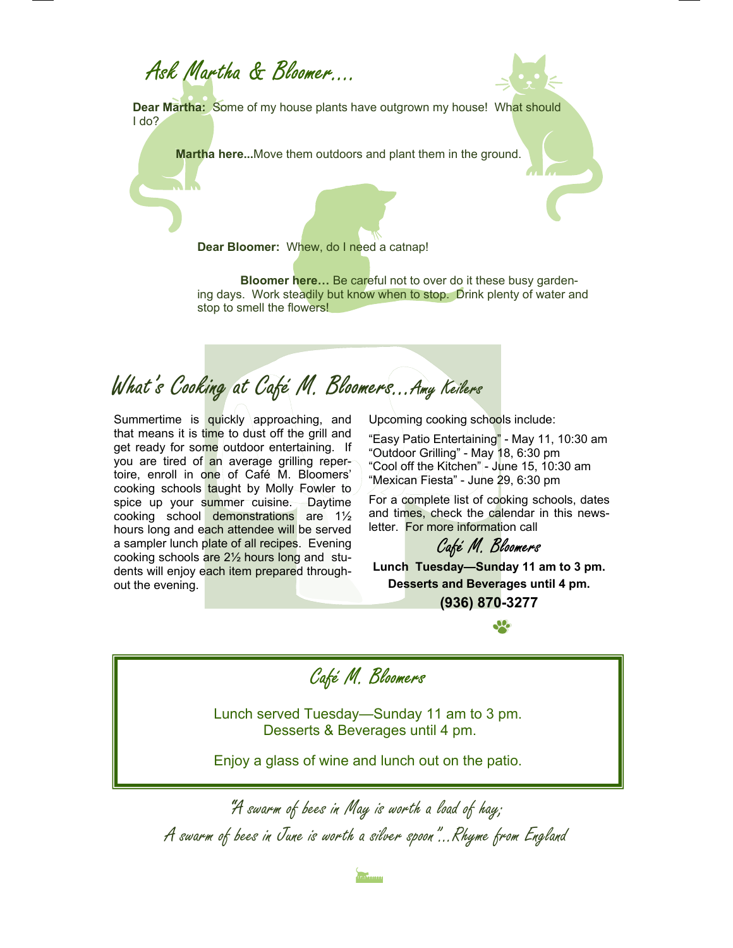Ask Martha & Bloomer….



**Dear Martha:** Some of my house plants have outgrown my house! What should I do?

 **Martha here...**Move them outdoors and plant them in the ground.

**Dear Bloomer:** Whew, do I need a catnap!

 **Bloomer here…** Be careful not to over do it these busy gardening days. Work steadily but know when to stop. Drink plenty of water and stop to smell the flowers!

What's Cooking at Café M. Bloomers...Amy Keilers

Summertime is quickly approaching, and that means it is time to dust off the grill and get ready for some outdoor entertaining. If you are tired of an average grilling repertoire, enroll in one of Café M. Bloomers' cooking schools taught by Molly Fowler to spice up your summer cuisine. Daytime cooking school demonstrations are 1½ hours long and each attendee will be served a sampler lunch plate of all recipes. Evening cooking schools are 2½ hours long and students will enjoy each item prepared throughout the evening.

Upcoming cooking schools include:

"Easy Patio Entertaining" - May 11, 10:30 am "Outdoor Grilling" - May 18, 6:30 pm "Cool off the Kitchen" - June 15, 10:30 am "Mexican Fiesta" - June 29, 6:30 pm

For a complete list of cooking schools, dates and times, check the calendar in this newsletter. For more information call

#### Café M. Bloomers

**Lunch Tuesday—Sunday 11 am to 3 pm. Desserts and Beverages until 4 pm.**

**(936) 870-3277**

Café M. Bloomers

Lunch served Tuesday—Sunday 11 am to 3 pm. Desserts & Beverages until 4 pm.

Enjoy a glass of wine and lunch out on the patio.

"A swarm of bees in May is worth a load of hay; A swarm of bees in June is worth a silver spoon"...Rhyme from England